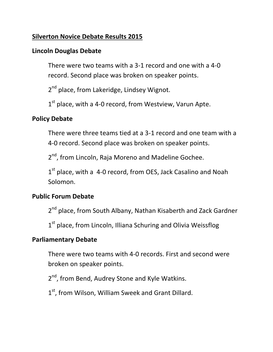#### **Silverton Novice Debate Results 2015**

#### **Lincoln Douglas Debate**

There were two teams with a 3-1 record and one with a 4-0 record. Second place was broken on speaker points.

2<sup>nd</sup> place, from Lakeridge, Lindsey Wignot.

1<sup>st</sup> place, with a 4-0 record, from Westview, Varun Apte.

#### **Policy Debate**

There were three teams tied at a 3-1 record and one team with a 4-0 record. Second place was broken on speaker points.

2<sup>nd</sup>, from Lincoln, Raja Moreno and Madeline Gochee.

1<sup>st</sup> place, with a 4-0 record, from OES, Jack Casalino and Noah Solomon.

#### **Public Forum Debate**

2<sup>nd</sup> place, from South Albany, Nathan Kisaberth and Zack Gardner

1<sup>st</sup> place, from Lincoln, Illiana Schuring and Olivia Weissflog

#### **Parliamentary Debate**

There were two teams with 4-0 records. First and second were broken on speaker points.

2<sup>nd</sup>, from Bend, Audrey Stone and Kyle Watkins.

1<sup>st</sup>, from Wilson, William Sweek and Grant Dillard.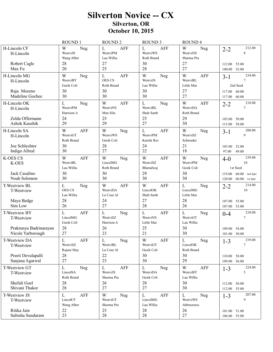# **Silverton Novice -- CX Silverton, OR October 10, 2015**

|                                                              | <b>ROUND1</b>                                         | <b>ROUND 2</b>                                        | <b>ROUND 3</b>                                               | <b>ROUND4</b>                                      |                                                              |
|--------------------------------------------------------------|-------------------------------------------------------|-------------------------------------------------------|--------------------------------------------------------------|----------------------------------------------------|--------------------------------------------------------------|
| H-Lincoln CF<br>H-Lincoln<br>Robert Cagle<br>Max Fu          | W<br>Neg<br>WestviJS<br>Wang Alber<br>28<br>20        | L<br><b>AFF</b><br>WestviPM<br>Lau Willia<br>27<br>25 | L<br><b>AFF</b><br>WestviWS<br>Roth Brand<br>30<br>28        | W<br>Neg<br>WestviNS<br>Sharma Pra<br>27<br>27     | 212.00<br>$2 - 2$<br>8<br>55.00<br>112.00<br>52.00<br>100.00 |
| H-Lincoln MG<br>H-Lincoln                                    | W<br>Neg<br>WestviBY<br>Gesik Coli                    | <b>AFF</b><br>$\mathbf L$<br>OES CS<br>Roth Brand     | W<br>Neg<br>WestviJS<br>Lau Willia                           | W<br><b>AFF</b><br>WestviBL<br>Little Mar          | 234.00<br>$3 - 1$<br>2nd Seed                                |
| Raja Moreno<br>Madeline Gochee                               | 30<br>30                                              | 30<br>30                                              | 30<br>30                                                     | 27<br>27                                           | 117.00<br>60.00<br>60.00<br>117.00                           |
| H-Lincoln OK<br>H-Lincoln<br>Zelda Offermann                 | Neg<br>L<br>WestviPM<br>Harrison A<br>24              | W<br><b>AFF</b><br>WestviNS<br>Men Silu<br>25         | L<br>Neg<br>WestviBL<br>Shah Sarth<br>25                     | W<br><b>AFF</b><br>WestviDA<br>Roth Brand<br>29    | 218.00<br>$2 - 2$<br>7<br>50.00                              |
| Ashok Kaushik                                                | 29                                                    | 29                                                    | 27                                                           | 30                                                 | 103.00<br>115.00 58.00                                       |
| H-Lincoln SA<br>H-Lincoln<br>Joe Schlechter<br>Indigo Allred | W<br><b>AFF</b><br>WestviGT<br>Roth Brand<br>30<br>30 | W<br>Neg<br>WestviWS<br>Gesik Coli<br>28<br>27        | $\Gamma$<br><b>AFF</b><br>WestviPM<br>Karnik Rav<br>24<br>22 | W<br>Neg<br>WestviSZ<br>Schnieder<br>21<br>18      | 200.00<br>$3-1$<br>9<br>103.00<br>52.00<br>97.00<br>49.00    |
| <b>K-OES CS</b><br>K-OES                                     | W<br><b>AFF</b><br>WestviBL<br>Lau Willia             | W<br>Neg<br>LincolMG<br>Roth Brand                    | W<br><b>AFF</b><br>WestviSZ<br>Bharadwaj                     | W<br>Neg<br>WestviPM<br>Gesik Coli                 | 239.00<br>$4-0$<br>10<br>1st Seed                            |
| Jack Casalino<br>Noah Solomon                                | 30<br>30                                              | 30<br>30                                              | 29<br>30                                                     | 30<br>30                                           | $60.00$ 2nd Spkr<br>119.00<br>$60.00$ 1st Spkr<br>120.00     |
| T-Westview BL<br>T-Westview<br>Maya Bedge                    | L<br>Neg<br><b>OES CS</b><br>Lau Willia<br>28         | W<br><b>AFF</b><br>WestviDA<br>La Cour Al<br>24       | W<br><b>AFF</b><br>LincolOK<br>Shah Sarth<br>27              | L<br>Neg<br>LincolMG<br>Little Mar<br>28           | 214.00<br>$2 - 2$<br>10<br>107.00<br>55.00                   |
| Sim Low                                                      | 26                                                    | 27                                                    | 28                                                           | 26                                                 | 107.00 53.00                                                 |
| <b>T-Westview BY</b><br>T-Westview<br>Prakrunya Badrinarayan | <b>AFF</b><br>L<br>LincolMG<br>Gesik Coli<br>28       | L<br>Neg<br>WestviSZ<br>Harrison A<br>26              | <b>AFF</b><br>L<br>WestviNS<br>Little Mar<br>25              | L<br>Neg<br>WestviGT<br>Lau Willia<br>30           | 210.00<br>$0 - 4$<br>7<br>54.00<br>109.00                    |
| Nicole Yarborough                                            | 27                                                    | 23                                                    | 21                                                           | 30                                                 | 101.00 50.00                                                 |
| T-Westview DA<br>T-Westview<br>Preeti Devulapalli            | $\mathbf L$<br>AFF<br>WestviSZ<br>Rajani May<br>28    | $\mathbf L$<br>Neg<br>WestviBL<br>La Cour Al<br>22    | $\mathbf W$<br>AFF<br>WestviGT<br>Gesik Coli<br>30           | $\mathbf L$<br>Neg<br>LincolOK<br>Roth Brand<br>30 | 219.00<br>$1 - 3$<br>$\overline{7}$<br>110.00 58.00          |
| Sanjana Agarwal                                              | 27                                                    | 23                                                    | 30                                                           | 29                                                 | 109.00 56.00                                                 |
| T-Westview GT<br>T-Westview                                  | L<br>Neg<br>LincolSA<br>Roth Brand                    | <b>AFF</b><br>L<br>WestviJS<br>Sharma Pra             | L<br>Neg<br>WestviDA<br>Gesik Coli                           | W<br>AFF<br>WestviBY<br>Lau Willia                 | 224.00<br>$1 - 3$<br>5                                       |
| Shefali Goel<br>Shivani Thakor                               | 28<br>28                                              | 26<br>27                                              | 28<br>27                                                     | 30<br>30                                           | 112.00 56.00<br>112.00 55.00                                 |
| T-Westview JS<br>T-Westview                                  | $\mathbf L$<br><b>AFF</b><br>LincolCF<br>Wang Alber   | W<br>Neg<br>WestviGT<br>Sharma Pra                    | $\mathbf L$<br>AFF<br>LincolMG<br>Lau Willia                 | L<br>Neg<br>WestviWS<br>Abbruzzese                 | 207.00<br>$1-3$<br>9                                         |
| Ritika Jain<br>Subisha Sundaram                              | 22<br>23                                              | 25<br>$28\,$                                          | 28<br>28                                                     | 26<br>27                                           | 101.00 51.00<br>106.00 55.00                                 |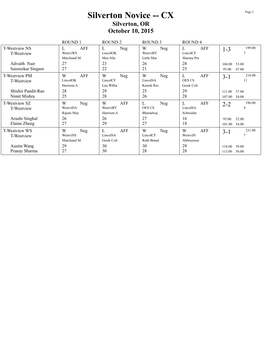# **Silverton Novice -- CX Silverton, OR October 10, 2015**

|                                    | <b>ROUND1</b><br><b>ROUND 2</b>    |                                    | <b>ROUND 3</b>                         | ROUND <sub>4</sub>                      |                                     |  |
|------------------------------------|------------------------------------|------------------------------------|----------------------------------------|-----------------------------------------|-------------------------------------|--|
| T-Westview NS<br>T-Westview        | AFF<br>L<br>WestviWS<br>Marchand M | Neg<br>L<br>LincolOK<br>Men Silu   | W<br>Neg<br>WestviBY<br>Little Mar     | AFF<br>L<br>LincolCF<br>Sharma Pra      | 199.00<br>$1 - 3$<br>$\overline{7}$ |  |
| Advaith Nair<br>Saisreekar Singam  | 27<br>27                           | 23<br>22                           | 26<br>21                               | 28<br>25                                | 104.00<br>53.00<br>47.00<br>95.00   |  |
| T-Westview PM<br>T-Westview        | W<br>AFF<br>LincolOK<br>Harrison A | W<br>Neg<br>LincolCF<br>Lau Willia | W<br>Neg<br>LincolSA<br>Karnik Rav     | L<br>AFF<br><b>OES CS</b><br>Gesik Coli | 218.00<br>$3 - 1$<br>11             |  |
| Shishir Pandit-Rao<br>Nimit Mishra | 28<br>25                           | 29<br>28                           | 25<br>26                               | 29<br>28                                | 57.00<br>111.00<br>54.00<br>107.00  |  |
| T-Westview SZ<br>T-Westview        | W<br>Neg<br>WestviDA<br>Rajani May | W<br>AFF<br>WestviBY<br>Harrison A | L<br>Neg<br><b>OES CS</b><br>Bharadwaj | L<br>AFF<br>LincolSA<br>Schnieder       | 196.00<br>$2 - 2$<br>8              |  |
| Arushi Singhal<br>Elaine Zheng     | 26<br>27                           | 26<br>29                           | 27<br>27                               | 16<br>18                                | 52.00<br>95.00<br>101.00<br>54.00   |  |
| T-Westview WS<br>T-Westview        | W<br>Neg<br>WestviNS<br>Marchand M | AFF<br>L<br>LincolSA<br>Gesik Coli | W<br>Neg<br>LincolCF<br>Roth Brand     | W<br>AFF<br>WestviJS<br>Abbruzzese      | 231.00<br>$3-1$<br>7                |  |
| Austin Wang<br>Pranay Sharma       | 29<br>27                           | 30<br>30                           | 30<br>28                               | 29<br>28                                | 59.00<br>118.00<br>56.00<br>113.00  |  |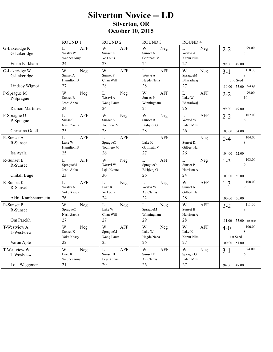# **Silverton Novice -- LD** Silverton, OR October 10, 2015

|                                                | ROUND 1                                         | ROUND <sub>2</sub>                                   | ROUND <sub>3</sub>                                                  | ROUND 4                                                |                                          |
|------------------------------------------------|-------------------------------------------------|------------------------------------------------------|---------------------------------------------------------------------|--------------------------------------------------------|------------------------------------------|
| G-Lakeridge K<br>G-Lakeridge                   | L<br><b>AFF</b><br>Westvi W<br>Webber Amy<br>24 | W<br>AFF<br>Sunset K<br>Ye Louis<br>23               | W<br>Neg<br>Sunset A<br>Gopinath V<br>25                            | L<br>Neg<br>Westvi A<br>Kapur Nimi<br>27               | 99.00<br>$2 - 2$<br>$\,8\,$              |
| Ethan Kirkham                                  |                                                 |                                                      |                                                                     |                                                        | 49.00<br>99.00                           |
| G-Lakeridge W<br>G-Lakeridge<br>Lindsey Wignot | W<br>Neg<br>Sunset A<br>Hamilton B<br>27        | W<br><b>AFF</b><br>Sunset P<br>Chan Will<br>28       | L<br><b>AFF</b><br>Westvi A<br>Hegde Neha<br>28                     | W<br>Neg<br>SpragueM<br>Bharadwaj<br>27                | 110.00<br>$3 - 1$<br>8<br>2nd Seed       |
|                                                |                                                 |                                                      |                                                                     |                                                        | 110.00 55.00 2nd Spkr                    |
| P-Sprague M<br>P-Sprague<br>Ramon Martinez     | W<br>Neg<br>Sunset B<br>Joshi Abha<br>24        | $\mathbf L$<br>Neg<br>Westvi A<br>Wang Laura<br>24   | W<br><b>AFF</b><br>Sunset P<br>Winningham<br>25                     | $\mathbf L$<br><b>AFF</b><br>Lake W<br>Bharadwaj<br>26 | 99.00<br>$2 - 2$<br>10<br>99.00<br>49.00 |
|                                                |                                                 |                                                      |                                                                     |                                                        |                                          |
| P-Sprague O<br>P-Sprague<br>Christina Odell    | L<br>AFF<br>Sunset P<br>Nash Zacha<br>25        | W<br>Neg<br>Sunset A<br>Touinere M<br>28             | W<br>Neg<br>Sunset B<br>Bisbjerg G<br>28                            | L<br><b>AFF</b><br>Westvi W<br>Palan Mihi<br>26        | 107.00<br>$2 - 2$<br>6                   |
|                                                |                                                 |                                                      |                                                                     |                                                        | 107.00 54.00                             |
| $R$ -Sunset A<br>R-Sunset                      | <b>AFF</b><br>L<br>Lake W<br>Hamilton B         | L<br>AFF<br>SpragueO<br>Touinere M                   | L<br><b>AFF</b><br>Lake K<br>Gopinath V                             | $\mathbf{L}$<br>Neg<br>Sunset K<br>Gilbert Ha          | 104.00<br>$0 - 4$<br>$\,8\,$             |
| Isa Ayala                                      | 25                                              | 26                                                   | 27                                                                  | 26                                                     | 104.00 52.00                             |
| R-Sunset B<br>R-Sunset<br>Chitali Buge         | L<br><b>AFF</b><br>SpragueM<br>Joshi Abha<br>23 | W<br>Neg<br>Westvi W<br>Leja Kenne<br>30             | $\overline{L}$<br><b>AFF</b><br>SpragueO<br><b>Bisbjerg</b> G<br>26 | L<br>Neg<br>Sunset P<br>Harrison A<br>24               | 103.00<br>$1 - 3$<br>9                   |
|                                                |                                                 |                                                      |                                                                     |                                                        | 103.00 50.00                             |
| R-Sunset K<br>R-Sunset                         | L<br><b>AFF</b><br>Westvi A<br>Yoke Kasey<br>26 | $\mathbf L$<br>Neg<br>Lake K<br>Ye Louis<br>24       | L<br>Neg<br>Westvi W<br>Au Clarris<br>22                            | W<br><b>AFF</b><br>Sunset A<br>Gilbert Ha<br>28        | 100.00<br>$1 - 3$<br>9                   |
| Akhil Kambhammettu                             |                                                 |                                                      |                                                                     |                                                        | 100.00 50.00                             |
| R-Sunset P<br>R-Sunset                         | W<br>Neg<br>SpragueO<br>Nash Zacha              | $\mathbf L$<br>Neg<br>Lake W<br>Chan Will            | $\mathbf{L}$<br>Neg<br>SpragueM<br>Winningham                       | W<br><b>AFF</b><br>Sunset B<br>Harrison A              | 111.00<br>$2 - 2$<br>$\,8\,$             |
| Om Parekh                                      | 27                                              | 27                                                   | 29                                                                  | 28                                                     | 111.00 55.00 1st Spkr                    |
| T-Westview A<br><b>T-Westview</b>              | W<br>Neg<br>Sunset K<br>Yoke Kasey              | <b>AFF</b><br>W<br>SpragueM<br>Wang Laura            | W<br>Neg<br>Lake W<br>Hegde Neha                                    | W<br><b>AFF</b><br>Lake K<br>Kapur Nimi                | 100.00<br>$4-0$<br>8<br>1st Seed         |
| Varun Apte                                     | 22                                              | 25                                                   | 26                                                                  | 27                                                     | 100.00 51.00                             |
| T-Westview W<br><b>T-Westview</b>              | W<br>Neg<br>Lake K<br>Webber Amy                | $\mathbf{L}$<br><b>AFF</b><br>Sunset B<br>Leja Kenne | W<br><b>AFF</b><br>Sunset K<br>Au Clarris                           | W<br>Neg<br>SpragueO<br>Palan Mihi                     | 94.00<br>$3 - 1$<br>6                    |
| Lola Waggoner                                  | 21                                              | 20                                                   | 26                                                                  | 27                                                     | 94.00 47.00                              |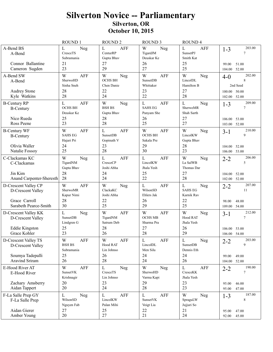### Silverton Novice -- Parliamentary Silverton, OR October 10, 2015

|                                                                            | <b>ROUND1</b>                                               | <b>ROUND 2</b>                                               | <b>ROUND 3</b>                                                  | <b>ROUND4</b>                                               |                                                             |
|----------------------------------------------------------------------------|-------------------------------------------------------------|--------------------------------------------------------------|-----------------------------------------------------------------|-------------------------------------------------------------|-------------------------------------------------------------|
| A-Bend BS<br>A-Bend<br>Connor Ballantine<br>Cameron Sugden                 | L<br>Neg<br>CresceTS<br>Subramania<br>21<br>23              | L<br><b>AFF</b><br>CenturRP<br>Gupta Bhav<br>27<br>29        | W<br>Neg<br>TigardJM<br>Deuskar Ke<br>26<br>27                  | L<br><b>AFF</b><br><b>SunsetPJ</b><br>Smith Kat<br>25<br>25 | 203.00<br>$1 - 3$<br>7<br>51.00<br>99.00<br>52.00<br>104.00 |
| A-Bend SW<br>A-Bend                                                        | W<br><b>AFF</b><br>SherwoHD<br>Sinha Sneh                   | W<br>Neg<br><b>OCHS BH</b><br>Chen Danie                     | W<br><b>AFF</b><br>SunsetDB<br>Whittaker                        | W<br>Neg<br>LincolDL<br>Hamilton B                          | 202.00<br>$4-0$<br>8<br>2nd Seed                            |
| <b>Audrey Stone</b><br>Kyle Watkins                                        | 28<br>28                                                    | 22<br>24                                                     | 23<br>22                                                        | 27<br>28                                                    | 100.00 50.00<br>52.00<br>102.00                             |
| <b>B-Century RP</b><br><b>B-Century</b>                                    | <b>AFF</b><br>L<br><b>OCHS BH</b><br>Deuskar Ke<br>25       | W<br>Neg<br><b>BSH BS</b><br>Gupta Bhav<br>28                | $\mathbf L$<br><b>AFF</b><br><b>SAHS EG</b><br>Panyam She<br>26 | $\mathbf L$<br>Neg<br>SherwoMR<br>Shah Sarth<br>27          | 209.00<br>$1 - 3$<br>7                                      |
| Nico Rueda<br>Ross Peene                                                   | 23                                                          | 28                                                           | 25                                                              | 27                                                          | 53.00<br>106.00<br>103.00 52.00                             |
| <b>B-Century WF</b><br><b>B-Century</b><br>Olivia Waller<br>Natalie Fossoy | W<br><b>AFF</b><br><b>SAHS EG</b><br>Hajari Pri<br>24<br>25 | L<br><b>AFF</b><br><b>SunsetDB</b><br>Gopinath V<br>23<br>28 | W<br>AFF<br><b>OCHS BH</b><br>Sakala Pre<br>29<br>30            | W<br>Neg<br>LincolKW<br>Gupta Bhav<br>28<br>23              | 210.00<br>$3-1$<br>9<br>104.00<br>52.00<br>106.00 53.00     |
| C-Clackamas KC<br>C-Clackamas                                              | W<br>Neg<br>TigardNM<br>Gupta Bhav                          | L<br><b>AFF</b><br>CresceCP<br>Joshi Abha                    | $\mathbf L$<br><b>AFF</b><br>LincolKW<br>Jhala Yesh             | W<br>Neg<br>La SalWB<br>Thomas Dar                          | 206.00<br>$2 - 2$<br>5                                      |
| Jin Kim<br>Anand Carpenter-Sheresth                                        | 28<br>28                                                    | 24<br>24                                                     | 25<br>22                                                        | 27<br>28                                                    | 52.00<br>104.00<br>102.00 52.00                             |
| D-Crescent Valley CP<br>D-Crescent Valley                                  | W<br><b>AFF</b><br>SherwoMR<br>Kapur Nimi                   | W<br>Neg<br>ClackaKC<br>Joshi Abha                           | $\mathbf{L}$<br>AFF<br>WilsonSD<br>Ehlers Jak                   | L<br>Neg<br><b>SAHS EG</b><br>Karnik Rav                    | 207.00<br>$2 - 2$<br>11                                     |
| Grace Carroll<br>Sarabeth Pearce-Smith                                     | 28<br>30                                                    | 22<br>25                                                     | 26<br>29                                                        | 22<br>25                                                    | 98.00<br>48.00<br>54.00<br>109.00                           |
| D-Crescent Valley KK<br>D-Crescent Valley                                  | L<br>Neg<br><b>SunsetDB</b><br>Lindgren G                   | <b>AFF</b><br>W<br>TigardNM<br>Satrum Deb                    | W<br><b>AFF</b><br><b>OCHS MB</b><br>Sharma Pra                 | W<br>Neg<br>Hood RAT<br>Jhala Yesh                          | 212.00<br>$3-1$<br>7                                        |
| <b>Eddie Kingston</b><br>Grace Kohler                                      | 25<br>23                                                    | 28<br>26                                                     | 27<br>28                                                        | 26<br>29                                                    | 106.00<br>53.00<br>106.00 54.00                             |
| D-Crescent Valley TS<br>D-Crescent Valley                                  | $\mathbf W$<br>AFF<br><b>BSH BS</b><br>Subramania           | $\mathbf W$<br>${\rm AFF}$<br>Hood RAT<br>Lin Johnso         | $\mathbf L$<br>${\rm AFF}$<br>LincolDL<br>Men Silu              | ${\bf L}$<br>Neg<br>SunsetDB<br>Dennis Eth                  | 203.00<br>$2 - 2$<br>9                                      |
| Soumya Tadepalli<br>Aravind Sriram                                         | 25<br>26                                                    | 26<br>28                                                     | 24<br>24                                                        | 24<br>26                                                    | 99.00<br>49.00<br>104.00 52.00                              |
| E-Hood River AT<br>E-Hood River                                            | W<br><b>AFF</b><br>SunsetVK<br>Krishnagir                   | L<br>Neg<br>CresceTS<br>Lin Johnso                           | W<br>Neg<br>SherwoHD<br>Varma Kapi                              | L<br>AFF<br>CresceKK<br>Jhala Yesh                          | 190.00<br>$2 - 2$<br>7                                      |
| Zachary Amsberry<br>Aidan Tappert                                          | 20<br>20                                                    | 23<br>24                                                     | 29<br>28                                                        | 23<br>23                                                    | 95.00<br>46.00<br>95.00<br>47.00                            |
| F-La Salle Prep GY<br>F-La Salle Prep                                      | $\mathbf L$<br>Neg<br>WilsonSD<br>Nguyen Fab                | $\mathbf L$<br><b>AFF</b><br>LincolKW<br>Palan Mihi          | $\mathbf L$<br>AFF<br>SunsetVK<br>Voigt Lia                     | W<br>Neg<br>SpraguLW<br>Jujjuri So                          | 187.00<br>$1 - 3$<br>8                                      |
| Aidan Gierer<br>Amber Young                                                | 27<br>20                                                    | 25<br>27                                                     | 22<br>21                                                        | 21<br>24                                                    | 47.00<br>95.00<br>92.00<br>45.00                            |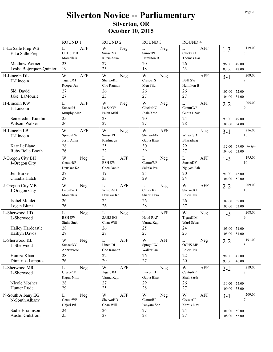### Silverton Novice -- Parliamentary Silverton, OR October 10, 2015

|                                                                                     | <b>ROUND1</b>                                                     | <b>ROUND 2</b>                                        | <b>ROUND 3</b>                                                  | <b>ROUND4</b>                                                    |                                                                        |
|-------------------------------------------------------------------------------------|-------------------------------------------------------------------|-------------------------------------------------------|-----------------------------------------------------------------|------------------------------------------------------------------|------------------------------------------------------------------------|
| F-La Salle Prep WB<br>F-La Salle Prep<br>Matthew Werner<br>Leslie Bojorquez-Quinter | L<br><b>AFF</b><br><b>OCHS MB</b><br>Marcellais<br>23<br>19       | W<br>Neg<br>SunsetVK<br>Kurse Aaka<br>27<br>23        | $\mathbf L$<br>Neg<br><b>SunsetPJ</b><br>Hamilton B<br>20<br>18 | $\mathbf{L}$<br><b>AFF</b><br>ClackaKC<br>Thomas Dar<br>26<br>23 | 179.00<br>$1 - 3$<br>8<br>49.00<br>96.00<br>42.00<br>83.00             |
| H-Lincoln DL<br>H-Lincoln                                                           | W<br><b>AFF</b><br>TigardJM<br>Rooper Jen                         | W<br>Neg<br>SherwoKL<br>Cho Rannon                    | W<br>Neg<br>CresceTS<br>Men Silu                                | $\mathbf L$<br><b>AFF</b><br><b>BSH SW</b><br>Hamilton B         | 209.00<br>$3 - 1$<br>9                                                 |
| Sid David<br>Jake LaMourie                                                          | 27<br>27                                                          | 26<br>23                                              | 26<br>27                                                        | 26<br>27                                                         | 52.00<br>105.00<br>54.00<br>104.00                                     |
| H-Lincoln KW<br>H-Lincoln<br>Semeredin Kundin                                       | $\mathbf{L}$<br><b>AFF</b><br><b>SunsetPJ</b><br>Murphy-Men<br>25 | W<br>Neg<br>La SalGY<br>Palan Mihi<br>28              | W<br>Neg<br>ClackaKC<br>Jhala Yesh<br>20                        | $\mathbf{L}$<br><b>AFF</b><br>CenturWF<br>Gupta Bhav<br>24       | 205.00<br>$2 - 2$<br>9<br>49.00<br>97.00                               |
| Wilson Walker                                                                       | 26                                                                | 27                                                    | 27                                                              | 28                                                               | 54.00<br>108.00                                                        |
| H-Lincoln LB<br>H-Lincoln<br>Kate LeBlanc<br>Ruby Belle Booth                       | W<br>AFF<br>SpraguLW<br>Joshi Abha<br>28<br>26                    | W<br>Neg<br><b>SunsetPJ</b><br>Krishnagir<br>25<br>22 | W<br><b>AFF</b><br>SherwoMR<br>Gupta Bhav<br>30<br>29           | $\mathbf{L}$<br>Neg<br>WilsonSD<br>Bharadwaj<br>29<br>27         | 216.00<br>$3 - 1$<br>10<br>57.00 1st Spkr<br>112.00<br>104.00<br>53.00 |
| J-Oregon City BH<br>J-Oregon City                                                   | W<br>Neg<br>CenturRP<br>Deuskar Ke                                | L<br><b>AFF</b><br><b>BSH SW</b><br>Chen Danie        | $\mathbf L$<br>Neg<br>CenturWF<br>Sakala Pre                    | $\mathbf L$<br><b>AFF</b><br>SunsetDY<br>Nguyen Fab              | 195.00<br>$1 - 3$<br>10                                                |
| Jen Burke<br>Claudia Hatch                                                          | 27<br>28                                                          | 19<br>23                                              | 25<br>29                                                        | 20<br>24                                                         | 45.00<br>91.00<br>104.00<br>52.00                                      |
| J-Oregon City MB<br>J-Oregon City                                                   | W<br>Neg<br>La SalWB<br>Marcellais                                | $\mathbf L$<br><b>AFF</b><br>WilsonSD<br>Deuskar Ke   | L<br>Neg<br>CresceKK<br>Sharma Pra                              | W<br><b>AFF</b><br>SherwoKL<br>Ehlers Jak                        | 209.00<br>$2 - 2$<br>10                                                |
| Isabel Moulet<br>Logan Blunt                                                        | 26<br>26                                                          | 24<br>26                                              | 26<br>28                                                        | 26<br>27                                                         | 52.00<br>102.00<br>53.00<br>107.00                                     |
| L-Sherwood HD<br>L-Sherwood<br>Hailey Hardcastle                                    | $\mathbf L$<br>Neg<br><b>BSH SW</b><br>Sinha Sneh<br>28           | L<br>Neg<br><b>SAHS EG</b><br>Chan Will<br>26         | $\mathbf{L}$<br><b>AFF</b><br>Hood RAT<br>Varma Kapi<br>25      | W<br>Neg<br>TigardNM<br>Ward Sebas<br>24                         | 208.00<br>$1 - 3$<br>9                                                 |
| Kaitlyn Davos                                                                       | 28                                                                | 27                                                    | 27                                                              | 23                                                               | 103.00<br>51.00<br>105.00 54.00                                        |
| L-Sherwood KL<br>L-Sherwood<br>Humza Khan                                           | $\mathbf W$<br>Neg<br>SunsetDY<br>Abbruzzese<br>28                | $\mathbf L$<br>AFF<br>LincolDL<br>Cho Rannon<br>22    | W<br>AFF<br>SpraguLW<br>Walker Ian<br>26                        | $\mathbf L$<br>Neg<br><b>OCHS MB</b><br>Ehlers Jak<br>22         | 191.00<br>$2 - 2$<br>8                                                 |
| Dimitrios Lampros                                                                   | 26                                                                | 20                                                    | 27                                                              | 20                                                               | 48.00<br>98.00<br>93.00<br>46.00                                       |
| L-Sherwood MR<br>L-Sherwood                                                         | L<br>Neg<br>$\sf{Cresec} \rm{C} \rm{P}$<br>Kapur Nimi             | W<br>AFF<br>TigardJM<br>Varma Kapi                    | L<br>Neg<br>LincolLB<br>Gupta Bhav                              | W<br>AFF<br>CenturRP<br>Shah Sarth                               | 219.00<br>$2 - 2$<br>$\tau$                                            |
| Nicole Mosher<br>Hunter Rude                                                        | 28<br>29                                                          | 27<br>25                                              | 29<br>28                                                        | 26<br>27                                                         | 110.00 55.00<br>109.00 55.00                                           |
| N-South Albany EG                                                                   | $\mathbf L$<br>Neg                                                | W<br>AFF                                              | W<br>Neg                                                        | W<br>AFF                                                         | 209.00<br>$3 - 1$                                                      |
| N-South Albany                                                                      | CenturWF<br>Hajari Pri                                            | SherwoHD<br>Chan Will                                 | CenturRP<br>Panyam She                                          | CresceCP<br>Karnik Rav                                           | $\overline{7}$                                                         |
| Sadie Efraimson<br><b>Austin Gulstrom</b>                                           | 24<br>25                                                          | 26<br>28                                              | 27<br>28                                                        | 24<br>27                                                         | 101.00 50.00<br>108.00 55.00                                           |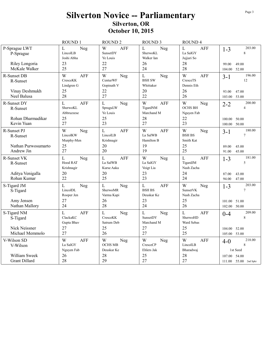## **Silverton Novice -- Parliamentary** Silverton, OR October 10, 2015

|                                                            | <b>ROUND1</b>                                                    | <b>ROUND 2</b>                                            | <b>ROUND 3</b>                                        | ROUND <sub>4</sub>                                     |                                                                           |
|------------------------------------------------------------|------------------------------------------------------------------|-----------------------------------------------------------|-------------------------------------------------------|--------------------------------------------------------|---------------------------------------------------------------------------|
| P-Sprague LWT<br>P-Sprague<br>Riley Longoria               | L<br>Neg<br>LincolLB<br>Joshi Abha<br>23                         | W<br>AFF<br>SunsetDY<br>Ye Louis<br>22                    | $\mathbf L$<br>Neg<br>SherwoKL<br>Walker Ian<br>26    | L<br>AFF<br>La SalGY<br>Jujjuri So<br>28               | 203.00<br>$1 - 3$<br>$\,8\,$<br>99.00<br>49.00                            |
| McKale Walker                                              | 25                                                               | 27                                                        | 24                                                    | 28                                                     | 52.00<br>104.00                                                           |
| R-Sunset DB<br>R-Sunset                                    | W<br><b>AFF</b><br>CresceKK<br>Lindgren G                        | W<br>Neg<br>CenturWF<br>Gopinath V                        | $\mathbf L$<br>Neg<br><b>BSH SW</b><br>Whittaker      | W<br><b>AFF</b><br>CresceTS<br>Dennis Eth              | 196.00<br>$3-1$<br>12                                                     |
| Vinay Deshmukh<br>Neel Balusa                              | 25<br>28                                                         | 22<br>27                                                  | 20<br>22                                              | 26<br>26                                               | 47.00<br>93.00<br>103.00<br>53.00                                         |
| R-Sunset DY<br>R-Sunset<br>Rohan Dharmadikar<br>Kevin Yuan | $\mathbf{L}$<br><b>AFF</b><br>SherwoKL<br>Abbruzzese<br>25<br>27 | $\mathbf L$<br>Neg<br>SpraguLW<br>Ye Louis<br>25<br>23    | W<br><b>AFF</b><br>TigardNM<br>Marchand M<br>28<br>27 | W<br>Neg<br><b>OCHS BH</b><br>Nguyen Fab<br>22<br>23   | 200.00<br>$2 - 2$<br>$\overline{4}$<br>50.00<br>100.00<br>50.00<br>100.00 |
| R-Sunset PJ<br>R-Sunset<br>Nathan Purwosumarto             | W<br>Neg<br>LincolKW<br>Murphy-Men<br>25                         | $\mathbf L$<br><b>AFF</b><br>LincolLB<br>Krishnagir<br>20 | W<br><b>AFF</b><br>La SalWB<br>Hamilton B<br>19       | W<br>Neg<br><b>BSH BS</b><br>Smith Kat<br>25           | 180.00<br>$3 - 1$<br>$\tau$<br>45.00<br>89.00                             |
| Andrew Jin                                                 | 27                                                               | 20                                                        | 19                                                    | 25                                                     | 91.00<br>45.00                                                            |
| R-Sunset VK<br>R-Sunset                                    | L<br>Neg<br>Hood RAT<br>Krishnagir                               | $\mathbf L$<br><b>AFF</b><br>La SalWB<br>Kurse Aaka       | W<br>Neg<br>La SalGY<br>Voigt Lia                     | $\mathbf{L}$<br><b>AFF</b><br>TigardJM<br>Nash Zacha   | 181.00<br>$1 - 3$<br>5                                                    |
| Aditya Venigalla<br>Rohan Kumar                            | 20<br>22                                                         | 20<br>25                                                  | 23<br>23                                              | 24<br>24                                               | 87.00<br>43.00<br>47.00<br>94.00                                          |
| S-Tigard JM<br>S-Tigard                                    | L<br>Neg<br>LincolDL<br>Rooper Jen                               | L<br>Neg<br>SherwoMR<br>Varma Kapi                        | $\mathbf L$<br>AFF<br><b>BSH BS</b><br>Deuskar Ke     | W<br>Neg<br>SunsetVK<br>Nash Zacha                     | 203.00<br>$1 - 3$<br>$\overline{7}$                                       |
| Amy Jensen<br>Nathan Mallory                               | 27<br>24                                                         | 26<br>28                                                  | 23<br>24                                              | 25<br>26                                               | 101.00<br>51.00<br>50.00<br>102.00                                        |
| S-Tigard NM<br>S-Tigard                                    | L<br><b>AFF</b><br>ClackaKC<br>Gupta Bhav                        | L<br>Neg<br>CresceKK<br>Satrum Deb                        | $\mathbf L$<br>Neg<br>SunsetDY<br>Marchand M          | $\overline{L}$<br><b>AFF</b><br>SherwoHD<br>Ward Sebas | 209.00<br>$0 - 4$<br>8                                                    |
| Nick Neissner<br>Michael Memmolo                           | 27<br>27                                                         | 25<br>26                                                  | 27<br>27                                              | 25<br>25                                               | 104.00<br>52.00<br>53.00<br>105.00                                        |
| V-Wilson SD<br>V-Wilson                                    | W<br><b>AFF</b><br>La SalGY<br>Nguyen Fab                        | W<br>Neg<br><b>OCHS MB</b><br>Deuskar Ke                  | W<br>Neg<br>CresceCP<br>Ehlers Jak                    | W<br>AFF<br>LincolLB<br>Bharadwaj                      | 218.00<br>$4 - 0$<br>8<br>1st Seed                                        |
| William Sweek<br><b>Grant Dillard</b>                      | 26<br>28                                                         | 28<br>29                                                  | 25<br>27                                              | 28<br>27                                               | 107.00 54.00<br>111.00 55.00 2nd Spkr                                     |